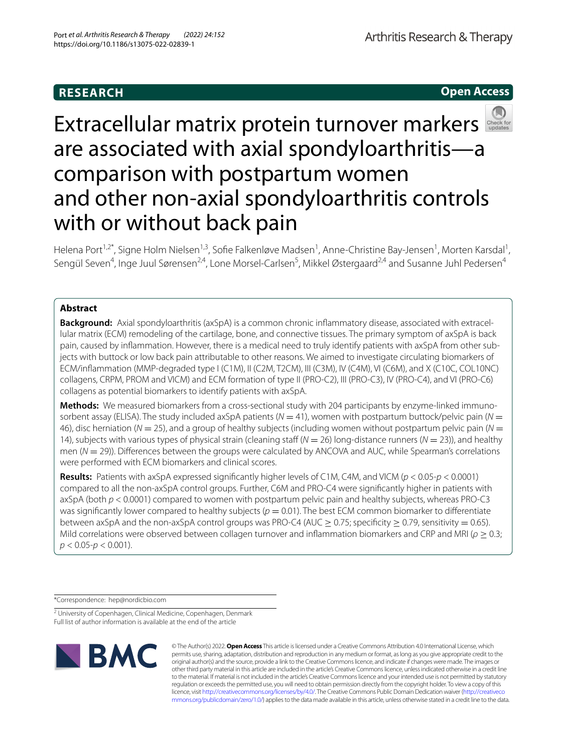# **RESEARCH**

**Open Access**



Helena Port<sup>1,2\*</sup>, Signe Holm Nielsen<sup>1,3</sup>, Sofie Falkenløve Madsen<sup>1</sup>, Anne-Christine Bay-Jensen<sup>1</sup>, Morten Karsdal<sup>1</sup>, Sengül Seven<sup>4</sup>, Inge Juul Sørensen<sup>2,4</sup>, Lone Morsel-Carlsen<sup>5</sup>, Mikkel Østergaard<sup>2,4</sup> and Susanne Juhl Pedersen<sup>4</sup>

# **Abstract**

**Background:** Axial spondyloarthritis (axSpA) is a common chronic infammatory disease, associated with extracel‑ lular matrix (ECM) remodeling of the cartilage, bone, and connective tissues. The primary symptom of axSpA is back pain, caused by inflammation. However, there is a medical need to truly identify patients with axSpA from other subjects with buttock or low back pain attributable to other reasons. We aimed to investigate circulating biomarkers of ECM/infammation (MMP-degraded type I (C1M), II (C2M, T2CM), III (C3M), IV (C4M), VI (C6M), and X (C10C, COL10NC) collagens, CRPM, PROM and VICM) and ECM formation of type II (PRO-C2), III (PRO-C3), IV (PRO-C4), and VI (PRO-C6) collagens as potential biomarkers to identify patients with axSpA.

Methods: We measured biomarkers from a cross-sectional study with 204 participants by enzyme-linked immunosorbent assay (ELISA). The study included axSpA patients (*N* = 41), women with postpartum buttock/pelvic pain (*N* = 46), disc herniation (*N* = 25), and a group of healthy subjects (including women without postpartum pelvic pain (*N* = 14), subjects with various types of physical strain (cleaning staf (*N* = 26) long-distance runners (*N* = 23)), and healthy men ( $N = 29$ )). Differences between the groups were calculated by ANCOVA and AUC, while Spearman's correlations were performed with ECM biomarkers and clinical scores.

**Results:** Patients with axSpA expressed signifcantly higher levels of C1M, C4M, and VICM (*p* < 0.05-*p* < 0.0001) compared to all the non-axSpA control groups. Further, C6M and PRO-C4 were signifcantly higher in patients with axSpA (both *p* < 0.0001) compared to women with postpartum pelvic pain and healthy subjects, whereas PRO-C3 was significantly lower compared to healthy subjects ( $p = 0.01$ ). The best ECM common biomarker to differentiate between axSpA and the non-axSpA control groups was PRO-C4 (AUC  $\geq$  0.75; specificity  $\geq$  0.79, sensitivity = 0.65). Mild correlations were observed between collagen turnover and infammation biomarkers and CRP and MRI (*ρ* ≥ 0.3; *p* < 0.05-*p* < 0.001).

\*Correspondence: hep@nordicbio.com

<sup>&</sup>lt;sup>2</sup> University of Copenhagen, Clinical Medicine, Copenhagen, Denmark Full list of author information is available at the end of the article



© The Author(s) 2022. **Open Access** This article is licensed under a Creative Commons Attribution 4.0 International License, which permits use, sharing, adaptation, distribution and reproduction in any medium or format, as long as you give appropriate credit to the original author(s) and the source, provide a link to the Creative Commons licence, and indicate if changes were made. The images or other third party material in this article are included in the article's Creative Commons licence, unless indicated otherwise in a credit line to the material. If material is not included in the article's Creative Commons licence and your intended use is not permitted by statutory regulation or exceeds the permitted use, you will need to obtain permission directly from the copyright holder. To view a copy of this licence, visit [http://creativecommons.org/licenses/by/4.0/.](http://creativecommons.org/licenses/by/4.0/) The Creative Commons Public Domain Dedication waiver ([http://creativeco](http://creativecommons.org/publicdomain/zero/1.0/) [mmons.org/publicdomain/zero/1.0/](http://creativecommons.org/publicdomain/zero/1.0/)) applies to the data made available in this article, unless otherwise stated in a credit line to the data.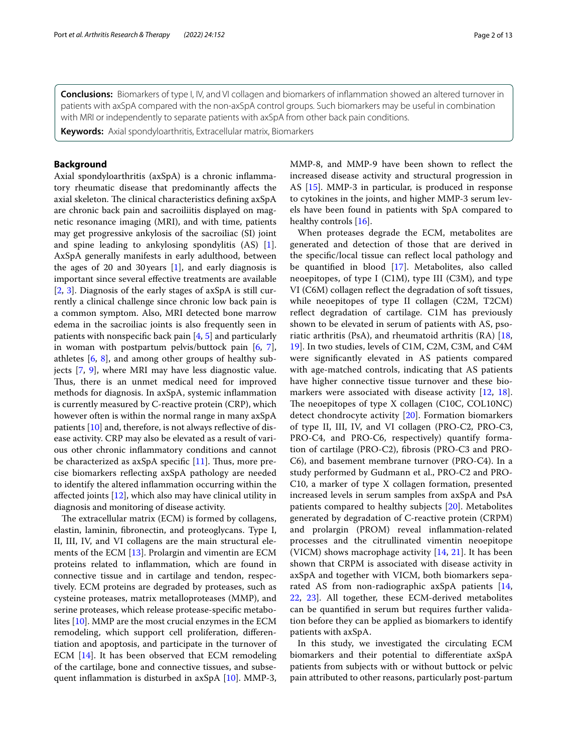**Conclusions:** Biomarkers of type I, IV, and VI collagen and biomarkers of infammation showed an altered turnover in patients with axSpA compared with the non-axSpA control groups. Such biomarkers may be useful in combination with MRI or independently to separate patients with axSpA from other back pain conditions.

**Keywords:** Axial spondyloarthritis, Extracellular matrix, Biomarkers

#### **Background**

Axial spondyloarthritis (axSpA) is a chronic infammatory rheumatic disease that predominantly afects the axial skeleton. The clinical characteristics defining axSpA are chronic back pain and sacroiliitis displayed on magnetic resonance imaging (MRI), and with time, patients may get progressive ankylosis of the sacroiliac (SI) joint and spine leading to ankylosing spondylitis (AS) [\[1](#page-11-0)]. AxSpA generally manifests in early adulthood, between the ages of 20 and 30 years  $[1]$  $[1]$ , and early diagnosis is important since several efective treatments are available [[2,](#page-11-1) [3](#page-11-2)]. Diagnosis of the early stages of axSpA is still currently a clinical challenge since chronic low back pain is a common symptom. Also, MRI detected bone marrow edema in the sacroiliac joints is also frequently seen in patients with nonspecifc back pain [[4,](#page-11-3) [5](#page-11-4)] and particularly in woman with postpartum pelvis/buttock pain [\[6](#page-11-5), [7](#page-11-6)], athletes [\[6,](#page-11-5) [8\]](#page-11-7), and among other groups of healthy subjects [[7](#page-11-6), [9](#page-11-8)], where MRI may have less diagnostic value. Thus, there is an unmet medical need for improved methods for diagnosis. In axSpA, systemic infammation is currently measured by C-reactive protein (CRP), which however often is within the normal range in many axSpA patients [[10\]](#page-11-9) and, therefore, is not always refective of disease activity. CRP may also be elevated as a result of various other chronic infammatory conditions and cannot be characterized as  $axSpA$  specific [\[11](#page-11-10)]. Thus, more precise biomarkers refecting axSpA pathology are needed to identify the altered infammation occurring within the afected joints [[12\]](#page-11-11), which also may have clinical utility in diagnosis and monitoring of disease activity.

The extracellular matrix (ECM) is formed by collagens, elastin, laminin, fbronectin, and proteoglycans. Type I, II, III, IV, and VI collagens are the main structural elements of the ECM [\[13](#page-11-12)]. Prolargin and vimentin are ECM proteins related to infammation, which are found in connective tissue and in cartilage and tendon, respectively. ECM proteins are degraded by proteases, such as cysteine proteases, matrix metalloproteases (MMP), and serine proteases, which release protease-specifc metabolites [[10\]](#page-11-9). MMP are the most crucial enzymes in the ECM remodeling, which support cell proliferation, diferentiation and apoptosis, and participate in the turnover of ECM [\[14](#page-12-0)]. It has been observed that ECM remodeling of the cartilage, bone and connective tissues, and subsequent infammation is disturbed in axSpA [[10\]](#page-11-9). MMP-3, MMP-8, and MMP-9 have been shown to refect the increased disease activity and structural progression in AS [[15\]](#page-12-1). MMP-3 in particular, is produced in response to cytokines in the joints, and higher MMP-3 serum levels have been found in patients with SpA compared to healthy controls [[16\]](#page-12-2).

When proteases degrade the ECM, metabolites are generated and detection of those that are derived in the specifc/local tissue can refect local pathology and be quantifed in blood [\[17](#page-12-3)]. Metabolites, also called neoepitopes, of type I (C1M), type III (C3M), and type VI (C6M) collagen refect the degradation of soft tissues, while neoepitopes of type II collagen (C2M, T2CM) refect degradation of cartilage. C1M has previously shown to be elevated in serum of patients with AS, psoriatic arthritis (PsA), and rheumatoid arthritis (RA) [\[18](#page-12-4), [19\]](#page-12-5). In two studies, levels of C1M, C2M, C3M, and C4M were signifcantly elevated in AS patients compared with age-matched controls, indicating that AS patients have higher connective tissue turnover and these bio-markers were associated with disease activity [[12,](#page-11-11) [18](#page-12-4)]. The neoepitopes of type  $X$  collagen (C10C, COL10NC) detect chondrocyte activity [\[20](#page-12-6)]. Formation biomarkers of type II, III, IV, and VI collagen (PRO-C2, PRO-C3, PRO-C4, and PRO-C6, respectively) quantify formation of cartilage (PRO-C2), fbrosis (PRO-C3 and PRO-C6), and basement membrane turnover (PRO-C4). In a study performed by Gudmann et al., PRO-C2 and PRO-C10, a marker of type X collagen formation, presented increased levels in serum samples from axSpA and PsA patients compared to healthy subjects [[20\]](#page-12-6). Metabolites generated by degradation of C-reactive protein (CRPM) and prolargin (PROM) reveal infammation-related processes and the citrullinated vimentin neoepitope (VICM) shows macrophage activity [\[14,](#page-12-0) [21](#page-12-7)]. It has been shown that CRPM is associated with disease activity in axSpA and together with VICM, both biomarkers separated AS from non-radiographic axSpA patients [\[14](#page-12-0), [22,](#page-12-8) [23](#page-12-9)]. All together, these ECM-derived metabolites can be quantifed in serum but requires further validation before they can be applied as biomarkers to identify patients with axSpA.

In this study, we investigated the circulating ECM biomarkers and their potential to diferentiate axSpA patients from subjects with or without buttock or pelvic pain attributed to other reasons, particularly post-partum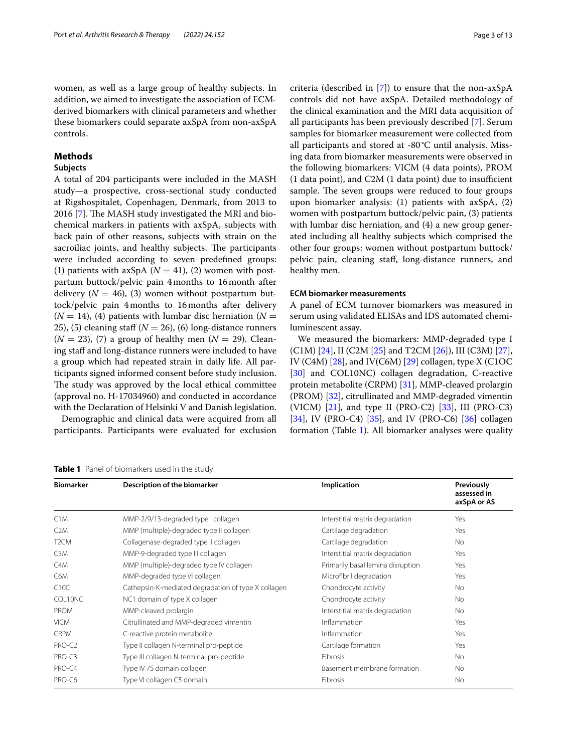women, as well as a large group of healthy subjects. In addition, we aimed to investigate the association of ECMderived biomarkers with clinical parameters and whether these biomarkers could separate axSpA from non-axSpA controls.

# **Methods**

#### **Subjects**

A total of 204 participants were included in the MASH study—a prospective, cross-sectional study conducted at Rigshospitalet, Copenhagen, Denmark, from 2013 to  $2016$  [[7\]](#page-11-6). The MASH study investigated the MRI and biochemical markers in patients with axSpA, subjects with back pain of other reasons, subjects with strain on the sacroiliac joints, and healthy subjects. The participants were included according to seven predefned groups: (1) patients with axSpA  $(N = 41)$ , (2) women with postpartum buttock/pelvic pain 4months to 16month after delivery  $(N = 46)$ , (3) women without postpartum buttock/pelvic pain 4months to 16months after delivery  $(N = 14)$ , (4) patients with lumbar disc herniation ( $N = 14$ ) 25), (5) cleaning staff  $(N = 26)$ , (6) long-distance runners  $(N = 23)$ , (7) a group of healthy men  $(N = 29)$ . Cleaning staff and long-distance runners were included to have a group which had repeated strain in daily life. All participants signed informed consent before study inclusion. The study was approved by the local ethical committee (approval no. H-17034960) and conducted in accordance with the Declaration of Helsinki V and Danish legislation.

Demographic and clinical data were acquired from all participants. Participants were evaluated for exclusion

<span id="page-2-0"></span>

|  | <b>Table 1</b> Panel of biomarkers used in the study |
|--|------------------------------------------------------|
|--|------------------------------------------------------|

criteria (described in [[7\]](#page-11-6)) to ensure that the non-axSpA controls did not have axSpA. Detailed methodology of the clinical examination and the MRI data acquisition of all participants has been previously described [\[7](#page-11-6)]. Serum samples for biomarker measurement were collected from all participants and stored at -80°C until analysis. Missing data from biomarker measurements were observed in the following biomarkers: VICM (4 data points), PROM  $(1$  data point), and C2M  $(1$  data point) due to insufficient sample. The seven groups were reduced to four groups upon biomarker analysis: (1) patients with axSpA, (2) women with postpartum buttock/pelvic pain, (3) patients with lumbar disc herniation, and (4) a new group generated including all healthy subjects which comprised the other four groups: women without postpartum buttock/ pelvic pain, cleaning staf, long-distance runners, and healthy men.

#### **ECM biomarker measurements**

A panel of ECM turnover biomarkers was measured in serum using validated ELISAs and IDS automated chemiluminescent assay.

We measured the biomarkers: MMP-degraded type I (C1M) [\[24](#page-12-10)], II (C2M [[25\]](#page-12-11) and T2CM [\[26\]](#page-12-12)), III (C3M) [\[27](#page-12-13)], IV (C4M) [[28](#page-12-14)], and IV(C6M) [\[29\]](#page-12-15) collagen, type X (C1OC [[30\]](#page-12-16) and COL10NC) collagen degradation, C-reactive protein metabolite (CRPM) [\[31\]](#page-12-17), MMP-cleaved prolargin (PROM) [\[32](#page-12-18)], citrullinated and MMP-degraded vimentin (VICM) [[21\]](#page-12-7), and type II (PRO-C2) [\[33](#page-12-19)], III (PRO-C3) [[34\]](#page-12-20), IV (PRO-C4) [[35](#page-12-21)], and IV (PRO-C6) [\[36\]](#page-12-22) collagen formation (Table [1](#page-2-0)). All biomarker analyses were quality

| <b>Biomarker</b>  | Description of the biomarker                        | Implication                       | Previously<br>assessed in<br>axSpA or AS |
|-------------------|-----------------------------------------------------|-----------------------------------|------------------------------------------|
| C1M               | MMP-2/9/13-degraded type I collagen                 | Interstitial matrix degradation   | Yes                                      |
| C2M               | MMP (multiple)-degraded type II collagen            | Cartilage degradation             | Yes                                      |
| T <sub>2</sub> CM | Collagenase-degraded type II collagen               | Cartilage degradation             | <b>No</b>                                |
| C <sub>3</sub> M  | MMP-9-degraded type III collagen                    | Interstitial matrix degradation   | Yes                                      |
| C4M               | MMP (multiple)-degraded type IV collagen            | Primarily basal lamina disruption | Yes                                      |
| C6M               | MMP-degraded type VI collagen                       | Microfibril degradation           | Yes                                      |
| C10C              | Cathepsin-K-mediated degradation of type X collagen | Chondrocyte activity              | <b>No</b>                                |
| COL10NC           | NC1 domain of type X collagen                       | Chondrocyte activity              | <b>No</b>                                |
| <b>PROM</b>       | MMP-cleaved prolargin                               | Interstitial matrix degradation   | <b>No</b>                                |
| <b>VICM</b>       | Citrullinated and MMP-degraded vimentin             | Inflammation                      | Yes                                      |
| <b>CRPM</b>       | C-reactive protein metabolite                       | Inflammation                      | Yes                                      |
| PRO-C2            | Type II collagen N-terminal pro-peptide             | Cartilage formation               | Yes                                      |
| PRO-C3            | Type III collagen N-terminal pro-peptide            | Fibrosis                          | <b>No</b>                                |
| PRO-C4            | Type IV 7S domain collagen                          | Basement membrane formation       | <b>No</b>                                |
| PRO-C6            | Type VI collagen C5 domain                          | <b>Fibrosis</b>                   | <b>No</b>                                |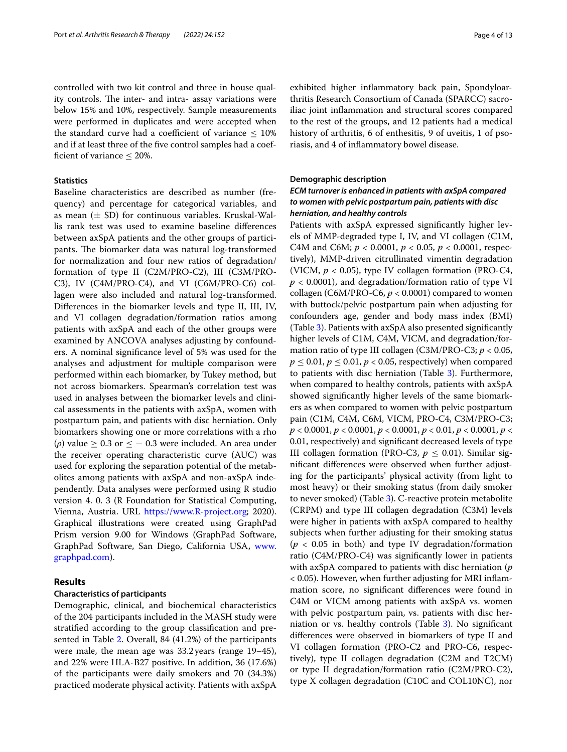controlled with two kit control and three in house quality controls. The inter- and intra- assay variations were below 15% and 10%, respectively. Sample measurements were performed in duplicates and were accepted when the standard curve had a coefficient of variance  $\leq 10\%$ and if at least three of the fve control samples had a coefficient of variance  $\leq$  20%.

## **Statistics**

Baseline characteristics are described as number (frequency) and percentage for categorical variables, and as mean  $(\pm$  SD) for continuous variables. Kruskal-Wallis rank test was used to examine baseline diferences between axSpA patients and the other groups of participants. The biomarker data was natural log-transformed for normalization and four new ratios of degradation/ formation of type II (C2M/PRO-C2), III (C3M/PRO-C3), IV (C4M/PRO-C4), and VI (C6M/PRO-C6) collagen were also included and natural log-transformed. Diferences in the biomarker levels and type II, III, IV, and VI collagen degradation/formation ratios among patients with axSpA and each of the other groups were examined by ANCOVA analyses adjusting by confounders. A nominal signifcance level of 5% was used for the analyses and adjustment for multiple comparison were performed within each biomarker, by Tukey method, but not across biomarkers. Spearman's correlation test was used in analyses between the biomarker levels and clinical assessments in the patients with axSpA, women with postpartum pain, and patients with disc herniation. Only biomarkers showing one or more correlations with a rho ( $\rho$ ) value  $\geq 0.3$  or  $\leq -0.3$  were included. An area under the receiver operating characteristic curve (AUC) was used for exploring the separation potential of the metabolites among patients with axSpA and non-axSpA independently. Data analyses were performed using R studio version 4. 0. 3 (R Foundation for Statistical Computing, Vienna, Austria. URL [https://www.R-project.org](https://www.r-project.org); 2020). Graphical illustrations were created using GraphPad Prism version 9.00 for Windows (GraphPad Software, GraphPad Software, San Diego, California USA, [www.](http://www.graphpad.com) [graphpad.com](http://www.graphpad.com)).

# **Results**

#### **Characteristics of participants**

Demographic, clinical, and biochemical characteristics of the 204 participants included in the MASH study were stratifed according to the group classifcation and presented in Table [2.](#page-4-0) Overall, 84 (41.2%) of the participants were male, the mean age was 33.2years (range 19–45), and 22% were HLA-B27 positive. In addition, 36 (17.6%) of the participants were daily smokers and 70 (34.3%) practiced moderate physical activity. Patients with axSpA exhibited higher infammatory back pain, Spondyloarthritis Research Consortium of Canada (SPARCC) sacroiliac joint infammation and structural scores compared to the rest of the groups, and 12 patients had a medical history of arthritis, 6 of enthesitis, 9 of uveitis, 1 of psoriasis, and 4 of infammatory bowel disease.

#### **Demographic description**

# *ECM turnover is enhanced in patients with axSpA compared to women with pelvic postpartum pain, patients with disc herniation, and healthy controls*

Patients with axSpA expressed signifcantly higher levels of MMP-degraded type I, IV, and VI collagen (C1M, C4M and C6M; *p* < 0.0001, *p* < 0.05, *p* < 0.0001, respectively), MMP-driven citrullinated vimentin degradation (VICM, *p* < 0.05), type IV collagen formation (PRO-C4, *p* < 0.0001), and degradation/formation ratio of type VI collagen (C6M/PRO-C6, *p* < 0.0001) compared to women with buttock/pelvic postpartum pain when adjusting for confounders age, gender and body mass index (BMI) (Table [3](#page-6-0)). Patients with axSpA also presented signifcantly higher levels of C1M, C4M, VICM, and degradation/formation ratio of type III collagen (C3M/PRO-C3; *p* < 0.05,  $p \le 0.01$ ,  $p \le 0.01$ ,  $p < 0.05$ , respectively) when compared to patients with disc herniation (Table [3\)](#page-6-0). Furthermore, when compared to healthy controls, patients with axSpA showed signifcantly higher levels of the same biomarkers as when compared to women with pelvic postpartum pain (C1M, C4M, C6M, VICM, PRO-C4, C3M/PRO-C3; *p* < 0.0001, *p* < 0.0001, *p* < 0.0001, *p* < 0.01, *p* < 0.0001, *p* < 0.01, respectively) and signifcant decreased levels of type III collagen formation (PRO-C3,  $p \leq 0.01$ ). Similar signifcant diferences were observed when further adjusting for the participants' physical activity (from light to most heavy) or their smoking status (from daily smoker to never smoked) (Table [3\)](#page-6-0). C-reactive protein metabolite (CRPM) and type III collagen degradation (C3M) levels were higher in patients with axSpA compared to healthy subjects when further adjusting for their smoking status (*p* < 0.05 in both) and type IV degradation/formation ratio (C4M/PRO-C4) was signifcantly lower in patients with axSpA compared to patients with disc herniation (*p* < 0.05). However, when further adjusting for MRI infammation score, no signifcant diferences were found in C4M or VICM among patients with axSpA vs. women with pelvic postpartum pain, vs. patients with disc herniation or vs. healthy controls (Table [3](#page-6-0)). No signifcant diferences were observed in biomarkers of type II and VI collagen formation (PRO-C2 and PRO-C6, respectively), type II collagen degradation (C2M and T2CM) or type II degradation/formation ratio (C2M/PRO-C2), type X collagen degradation (C10C and COL10NC), nor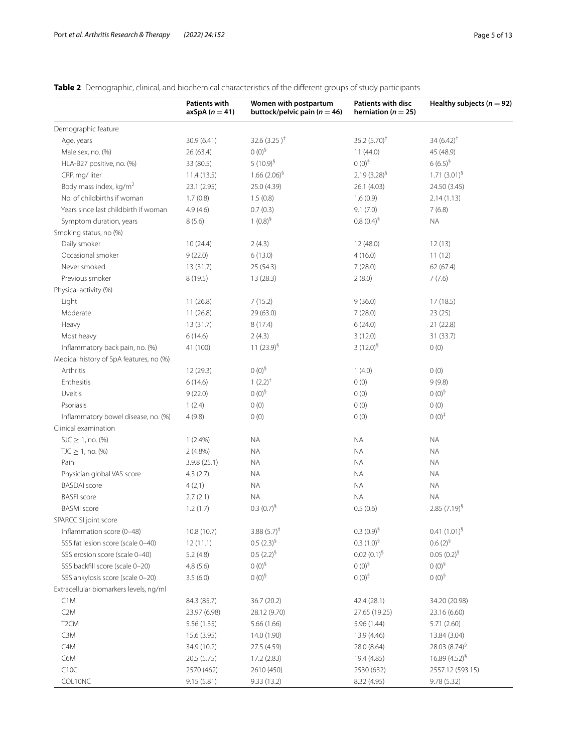# <span id="page-4-0"></span>**Table 2** Demographic, clinical, and biochemical characteristics of the diferent groups of study participants

|                                         | <b>Patients with</b><br>$axSpA (n = 41)$ | Women with postpartum<br>buttock/pelvic pain ( $n = 46$ ) | <b>Patients with disc</b><br>herniation ( $n = 25$ ) | Healthy subjects ( $n = 92$ ) |
|-----------------------------------------|------------------------------------------|-----------------------------------------------------------|------------------------------------------------------|-------------------------------|
| Demographic feature                     |                                          |                                                           |                                                      |                               |
| Age, years                              | 30.9 (6.41)                              | 32.6 $(3.25)^{+}$                                         | 35.2 $(5.70)^{+}$                                    | $34(6.42)^{+}$                |
| Male sex, no. (%)                       | 26 (63.4)                                | $0(0)^5$                                                  | 11(44.0)                                             | 45 (48.9)                     |
| HLA-B27 positive, no. (%)               | 33 (80.5)                                | 5 $(10.9)^9$                                              | $0(0)^{5}$                                           | $6(6.5)^{6}$                  |
| CRP, mg/liter                           | 11.4(13.5)                               | $1.66(2.06)^5$                                            | $2.19(3.28)^5$                                       | $1.71(3.01)^5$                |
| Body mass index, kg/m <sup>2</sup>      | 23.1 (2.95)                              | 25.0 (4.39)                                               | 26.1 (4.03)                                          | 24.50 (3.45)                  |
| No. of childbirths if woman             | 1.7(0.8)                                 | 1.5(0.8)                                                  | 1.6(0.9)                                             | 2.14(1.13)                    |
| Years since last childbirth if woman    | 4.9(4.6)                                 | 0.7(0.3)                                                  | 9.1(7.0)                                             | 7(6.8)                        |
| Symptom duration, years                 | 8(5.6)                                   | $1(0.8)^5$                                                | $0.8(0.4)^5$                                         | <b>NA</b>                     |
| Smoking status, no (%)                  |                                          |                                                           |                                                      |                               |
| Daily smoker                            | 10(24.4)                                 | 2(4.3)                                                    | 12 (48.0)                                            | 12(13)                        |
| Occasional smoker                       | 9(22.0)                                  | 6(13.0)                                                   | 4(16.0)                                              | 11(12)                        |
| Never smoked                            | 13(31.7)                                 | 25 (54.3)                                                 | 7(28.0)                                              | 62(67.4)                      |
| Previous smoker                         | 8(19.5)                                  | 13 (28.3)                                                 | 2(8.0)                                               | 7(7.6)                        |
| Physical activity (%)                   |                                          |                                                           |                                                      |                               |
| Light                                   | 11(26.8)                                 | 7(15.2)                                                   | 9(36.0)                                              | 17(18.5)                      |
| Moderate                                | 11(26.8)                                 | 29 (63.0)                                                 | 7(28.0)                                              | 23(25)                        |
| Heavy                                   | 13(31.7)                                 | 8(17.4)                                                   | 6(24.0)                                              | 21(22.8)                      |
| Most heavy                              | 6(14.6)                                  | 2(4.3)                                                    | 3(12.0)                                              | 31(33.7)                      |
| Inflammatory back pain, no. (%)         | 41 (100)                                 | 11 $(23.9)^5$                                             | $3(12.0)^5$                                          | 0(0)                          |
| Medical history of SpA features, no (%) |                                          |                                                           |                                                      |                               |
| Arthritis                               | 12 (29.3)                                | $0(0)^{5}$                                                | 1(4.0)                                               | 0(0)                          |
| Enthesitis                              | 6(14.6)                                  | $1(2.2)^{+}$                                              | 0(0)                                                 | 9(9.8)                        |
| Uveitis                                 | 9(22.0)                                  | $0(0)^5$                                                  | 0(0)                                                 | $0(0)^5$                      |
| Psoriasis                               | 1(2.4)                                   | 0(0)                                                      | 0(0)                                                 | 0(0)                          |
| Inflammatory bowel disease, no. (%)     | 4(9.8)                                   | 0(0)                                                      | 0(0)                                                 | $0(0)^+$                      |
| Clinical examination                    |                                          |                                                           |                                                      |                               |
| $SL \geq 1$ , no. (%)                   | $1(2.4\%)$                               | ΝA                                                        | <b>NA</b>                                            | ΝA                            |
| $TJC \ge 1$ , no. (%)                   | $2(4.8\%)$                               | ΝA                                                        | <b>NA</b>                                            | NA.                           |
| Pain                                    | 3.9.8(25.1)                              | ΝA                                                        | <b>NA</b>                                            | NA.                           |
| Physician global VAS score              | 4.3(2.7)                                 | NA.                                                       | <b>NA</b>                                            | ΝA                            |
| <b>BASDAI</b> score                     | 4(2,1)                                   | NA.                                                       | <b>NA</b>                                            | ΝA                            |
| <b>BASFI</b> score                      | 2.7(2.1)                                 | <b>NA</b>                                                 | <b>NA</b>                                            | <b>NA</b>                     |
| <b>BASMI</b> score                      | 1.2(1.7)                                 | $0.3(0.7)^9$                                              | 0.5(0.6)                                             | $2.85(7.19)^9$                |
| SPARCC SI joint score                   |                                          |                                                           |                                                      |                               |
| Inflammation score (0-48)               | 10.8 (10.7)                              | $3.88(5.7)^{\ddagger}$                                    | $0.3(0.9)^5$                                         | $0.41(1.01)^5$                |
| SSS fat lesion score (scale 0-40)       | 12(11.1)                                 | $0.5(2.3)^9$                                              | $0.3(1.0)^5$                                         | $0.6(2)^{6}$                  |
| SSS erosion score (scale 0-40)          | 5.2(4.8)                                 | $0.5(2.2)^{5}$                                            | $0.02(0.1)^5$                                        | $0.05(0.2)^5$                 |
| SSS backfill score (scale 0-20)         | 4.8(5.6)                                 | $0(0)^5$                                                  | $0(0)^5$                                             | $0(0)^5$                      |
| SSS ankylosis score (scale 0-20)        | 3.5(6.0)                                 | $0(0)^5$                                                  | $0(0)^5$                                             | $0(0)^5$                      |
| Extracellular biomarkers levels, ng/ml  |                                          |                                                           |                                                      |                               |
| C1M                                     | 84.3 (85.7)                              | 36.7 (20.2)                                               | 42.4 (28.1)                                          | 34.20 (20.98)                 |
| C2M                                     | 23.97 (6.98)                             | 28.12 (9.70)                                              | 27.65 (19.25)                                        | 23.16 (6.60)                  |
| T <sub>2</sub> CM                       | 5.56(1.35)                               | 5.66 (1.66)                                               | 5.96 (1.44)                                          | 5.71(2.60)                    |
| C3M                                     | 15.6 (3.95)                              | 14.0 (1.90)                                               | 13.9 (4.46)                                          | 13.84 (3.04)                  |
| C4M                                     | 34.9 (10.2)                              | 27.5 (4.59)                                               | 28.0 (8.64)                                          | 28.03 $(8.74)^5$              |
| C6M                                     | 20.5 (5.75)                              | 17.2 (2.83)                                               | 19.4 (4.85)                                          | $16.89(4.52)^{9}$             |
| C10C                                    | 2570 (462)                               | 2610 (450)                                                | 2530 (632)                                           | 2557.12 (593.15)              |
| COL10NC                                 | 9.15(5.81)                               | 9.33(13.2)                                                | 8.32 (4.95)                                          | 9.78 (5.32)                   |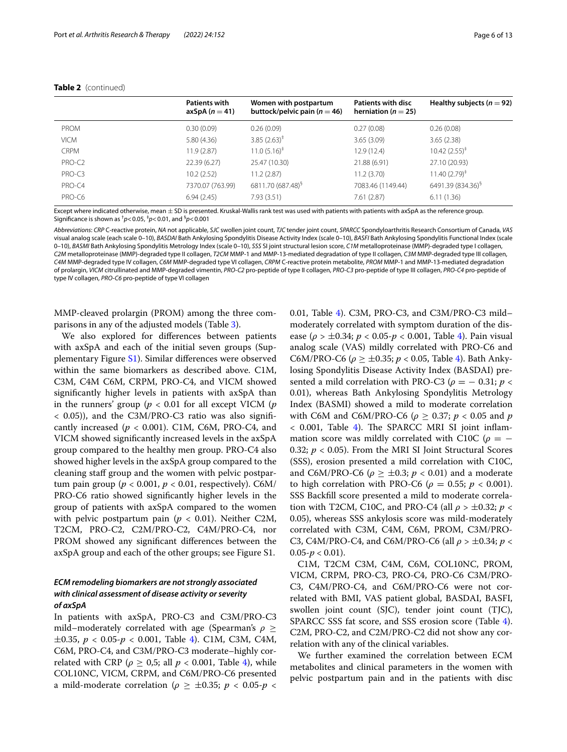|                    | <b>Patients with</b><br>axSpA $(n=41)$ | Women with postpartum<br>buttock/pelvic pain ( $n = 46$ ) | Patients with disc<br>herniation ( $n = 25$ ) | Healthy subjects ( $n = 92$ ) |
|--------------------|----------------------------------------|-----------------------------------------------------------|-----------------------------------------------|-------------------------------|
| <b>PROM</b>        | 0.30(0.09)                             | 0.26(0.09)                                                | 0.27(0.08)                                    | 0.26(0.08)                    |
| <b>VICM</b>        | 5.80(4.36)                             | $3.85(2.63)^{\ddagger}$                                   | 3.65(3.09)                                    | 3.65(2.38)                    |
| <b>CRPM</b>        | 11.9(2.87)                             | $11.0(5.16)^{\ddagger}$                                   | 12.9 (12.4)                                   | $10.42(2.55)^{\ddagger}$      |
| PRO-C <sub>2</sub> | 22.39(6.27)                            | 25.47 (10.30)                                             | 21.88 (6.91)                                  | 27.10 (20.93)                 |
| PRO-C3             | 10.2(2.52)                             | 11.2(2.87)                                                | 11.2(3.70)                                    | $11.40(2.79)^{\ddagger}$      |
| PRO-C4             | 7370.07 (763.99)                       | 6811.70 (687.48) <sup>§</sup>                             | 7083.46 (1149.44)                             | 6491.39 (834.36) <sup>§</sup> |
| PRO-C6             | 6.94(2.45)                             | 7.93(3.51)                                                | 7.61(2.87)                                    | 6.11(1.36)                    |

#### **Table 2** (continued)

Except where indicated otherwise, mean  $\pm$  SD is presented. Kruskal-Wallis rank test was used with patients with patients with axSpA as the reference group. Signifcance is shown as † *p*<0.05, ‡ *p*<0.01, and § *p*<0.001

*Abbreviations*: *CRP* C-reactive protein, *NA* not applicable, *SJC* swollen joint count, *TJC* tender joint count, *SPARCC* Spondyloarthritis Research Consortium of Canada, *VAS* visual analog scale (each scale 0–10), *BASDAI* Bath Ankylosing Spondylitis Disease Activity Index (scale 0–10), *BASFI* Bath Ankylosing Spondylitis Functional Index (scale 0–10), *BASMI* Bath Ankylosing Spondylitis Metrology Index (scale 0–10), *SSS* SI joint structural lesion score, *C1M* metalloproteinase (MMP)-degraded type I collagen, *C2M* metalloproteinase (MMP)-degraded type II collagen, *T2CM* MMP-1 and MMP-13-mediated degradation of type II collagen, *C3M* MMP-degraded type III collagen, *C4M* MMP-degraded type IV collagen, *C6M* MMP-degraded type VI collagen, *CRPM* C-reactive protein metabolite, *PROM* MMP-1 and MMP-13-mediated degradation of prolargin, *VICM* citrullinated and MMP-degraded vimentin, *PRO-C2* pro-peptide of type II collagen, *PRO-C3* pro-peptide of type III collagen, *PRO-C4* pro-peptide of type IV collagen, *PRO-C6* pro-peptide of type VI collagen

MMP-cleaved prolargin (PROM) among the three comparisons in any of the adjusted models (Table [3\)](#page-6-0).

We also explored for diferences between patients with axSpA and each of the initial seven groups (Supplementary Figure [S1](#page-11-13)). Similar diferences were observed within the same biomarkers as described above. C1M, C3M, C4M C6M, CRPM, PRO-C4, and VICM showed signifcantly higher levels in patients with axSpA than in the runners' group (*p* < 0.01 for all except VICM (*p* < 0.05)), and the C3M/PRO-C3 ratio was also signifcantly increased  $(p < 0.001)$ . C1M, C6M, PRO-C4, and VICM showed signifcantly increased levels in the axSpA group compared to the healthy men group. PRO-C4 also showed higher levels in the axSpA group compared to the cleaning staf group and the women with pelvic postpartum pain group ( $p < 0.001$ ,  $p < 0.01$ , respectively). C6M/ PRO-C6 ratio showed signifcantly higher levels in the group of patients with axSpA compared to the women with pelvic postpartum pain ( $p < 0.01$ ). Neither C2M, T2CM, PRO-C2, C2M/PRO-C2, C4M/PRO-C4, nor PROM showed any signifcant diferences between the axSpA group and each of the other groups; see Figure S1.

# *ECM remodeling biomarkers are not strongly associated with clinical assessment of disease activity or severity of axSpA*

In patients with axSpA, PRO-C3 and C3M/PRO-C3 mild–moderately correlated with age (Spearman's *ρ* ≥  $\pm 0.35$ ,  $p < 0.05$ - $p < 0.001$ , Table [4](#page-7-0)). C1M, C3M, C4M, C6M, PRO-C4, and C3M/PRO-C3 moderate–highly correlated with CRP ( $\rho \geq 0.5$ ; all  $p < 0.001$ , Table [4\)](#page-7-0), while COL10NC, VICM, CRPM, and C6M/PRO-C6 presented a mild-moderate correlation ( $\rho \ge \pm 0.35$ ;  $p < 0.05$ - $p <$  0.01, Table [4\)](#page-7-0). C3M, PRO-C3, and C3M/PRO-C3 mild– moderately correlated with symptom duration of the disease (*ρ* > ±0.34; *p* < 0.05-*p* < 0.001, Table [4\)](#page-7-0). Pain visual analog scale (VAS) mildly correlated with PRO-C6 and C6M/PRO-C6 (*ρ* ≥ ±0.35; *p* < 0.05, Table [4](#page-7-0)). Bath Ankylosing Spondylitis Disease Activity Index (BASDAI) presented a mild correlation with PRO-C3 ( $\rho = -0.31$ ;  $p <$ 0.01), whereas Bath Ankylosing Spondylitis Metrology Index (BASMI) showed a mild to moderate correlation with C6M and C6M/PRO-C6 ( $\rho \geq 0.37$ ;  $p < 0.05$  and  $p$  $<$  0.001, Table [4](#page-7-0)). The SPARCC MRI SI joint inflammation score was mildly correlated with C10C ( $\rho = -$ 0.32; *p* < 0.05). From the MRI SI Joint Structural Scores (SSS), erosion presented a mild correlation with C10C, and C6M/PRO-C6 ( $\rho > \pm 0.3$ ;  $p < 0.01$ ) and a moderate to high correlation with PRO-C6 ( $\rho = 0.55$ ;  $p < 0.001$ ). SSS Backfll score presented a mild to moderate correlation with T2CM, C10C, and PRO-C4 (all  $\rho > \pm 0.32$ ;  $p <$ 0.05), whereas SSS ankylosis score was mild-moderately correlated with C3M, C4M, C6M, PROM, C3M/PRO-C3, C4M/PRO-C4, and C6M/PRO-C6 (all *ρ* > ±0.34; *p* <  $0.05-p < 0.01$ ).

C1M, T2CM C3M, C4M, C6M, COL10NC, PROM, VICM, CRPM, PRO-C3, PRO-C4, PRO-C6 C3M/PRO-C3, C4M/PRO-C4, and C6M/PRO-C6 were not correlated with BMI, VAS patient global, BASDAI, BASFI, swollen joint count (SJC), tender joint count (TJC), SPARCC SSS fat score, and SSS erosion score (Table [4](#page-7-0)). C2M, PRO-C2, and C2M/PRO-C2 did not show any correlation with any of the clinical variables.

We further examined the correlation between ECM metabolites and clinical parameters in the women with pelvic postpartum pain and in the patients with disc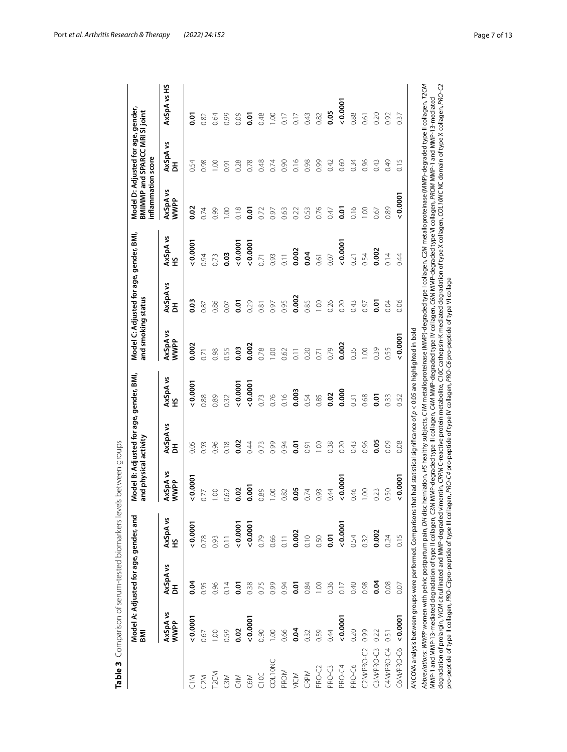|                   | 홂                       | Model A: Adjusted for age, gender, and |                                                                                                                                                                                                                                                                                                                                                                                                    | and physical activity                                                                                                                                  | Model B: Adjusted for age, gender, BMI, |                | and smoking status | Model C: Adjusted for age, gender, BMI, |                | inflammation score | Model D: Adjusted for age, gender,<br>BMIMMP and SPARCC MRI SI joint |             |
|-------------------|-------------------------|----------------------------------------|----------------------------------------------------------------------------------------------------------------------------------------------------------------------------------------------------------------------------------------------------------------------------------------------------------------------------------------------------------------------------------------------------|--------------------------------------------------------------------------------------------------------------------------------------------------------|-----------------------------------------|----------------|--------------------|-----------------------------------------|----------------|--------------------|----------------------------------------------------------------------|-------------|
|                   | AxSpA vs<br><b>WWPP</b> | AxSpA vs<br>DH                         | AxSpA vs<br>HS                                                                                                                                                                                                                                                                                                                                                                                     | AxSpA vs<br>WWPP                                                                                                                                       | AxSpA vs<br>DH                          | AxSpA vs<br>HS | AxSpA vs<br>WWPP   | AxSpA vs<br>DH                          | AxSpA vs<br>HS | AxSpA vs<br>WWPP   | AxSpA vs<br>DH                                                       | AxSpA vs HS |
| M <sub>C</sub>    | 0.0001                  | 9.04                                   | 0.0001                                                                                                                                                                                                                                                                                                                                                                                             | 0.0001                                                                                                                                                 | 0.05                                    | 0.0001         | 0.002              | 0.03                                    | 0.0001         | $\frac{2}{3}$      | 0.54                                                                 | 5s          |
| C <sub>2</sub> M  | 0.67                    | 0.95                                   | 0.78                                                                                                                                                                                                                                                                                                                                                                                               | 0.77                                                                                                                                                   | 0.93                                    | 0.88           | 0.71               | 0.87                                    | 0.94           | 0.74               | 0.98                                                                 | 0.82        |
| T <sub>2</sub> CM | 0.00                    | 0.96                                   | 0.93                                                                                                                                                                                                                                                                                                                                                                                               | 0.00                                                                                                                                                   | 0.96                                    | 0.89           | 0.98               | 0.86                                    | 0.73           | 0.99               | S                                                                    | 0.64        |
| C3M               | 0.59                    | 0.14                                   | $\overline{0.11}$                                                                                                                                                                                                                                                                                                                                                                                  | 0.62                                                                                                                                                   | 0.18                                    | 0.32           | 0.55               | 0.07                                    | 0.03           | 00.1               | $\overline{6}0$                                                      | 0.99        |
| C4M               | 0.02                    | 0.01                                   | 0.0001                                                                                                                                                                                                                                                                                                                                                                                             | 0.02                                                                                                                                                   | 0.02                                    | 0.0007         | 0.03               | ៑                                       | 0.0007         | 0.18               | 0.28                                                                 | 0.09        |
| C6M               | 0.0001                  | 0.38                                   | 0.0001                                                                                                                                                                                                                                                                                                                                                                                             | 0.001                                                                                                                                                  | 0.44                                    | 0.0007         | 0.002              | 0.29                                    | 0.0007         | ā                  | 0.78                                                                 | ō.o         |
| CIDC              | 0.90                    | 0.75                                   | 0.79                                                                                                                                                                                                                                                                                                                                                                                               | 0.89                                                                                                                                                   | 0.73                                    | 0.73           | 0.78               | 0.81                                    | 0.71           | 0.72               | 0.48                                                                 | 0.48        |
| COLIONC           | 1.00                    | 0.99                                   | 0.66                                                                                                                                                                                                                                                                                                                                                                                               | $\odot$                                                                                                                                                | 0.99                                    | 0.76           | 0.00               | 0.97                                    | 0.93           | 0.97               | 0.74                                                                 | 00.1        |
| PROM              | 0.66                    | 0.94                                   |                                                                                                                                                                                                                                                                                                                                                                                                    | 0.82                                                                                                                                                   | 0.94                                    | 0.16           | 0.62               | 0.95                                    |                | 0.63               | 0.90                                                                 | 0.17        |
| VICM              | 0.04                    | ā                                      | 0.002                                                                                                                                                                                                                                                                                                                                                                                              | 0.05                                                                                                                                                   | ō.or                                    | 0.003          | $\overline{0.11}$  | 0.002                                   | 0.002          | 0.22               | 0.16                                                                 | 0.17        |
| CRPM              | 0.32                    | 0.84                                   | 0.10                                                                                                                                                                                                                                                                                                                                                                                               | 0.74                                                                                                                                                   | 0.91                                    | 0.54           | 0.20               | 0.85                                    | 0.04           | 0.53               | 0.98                                                                 | 0.43        |
| PRO-C2            | 0.59                    | $\frac{8}{1}$                          | 0.50                                                                                                                                                                                                                                                                                                                                                                                               | 0.93                                                                                                                                                   | 00.1                                    | 0.85           | 0.71               | $\sum_{i=1}^{n}$                        | 0.61           | 0.76               | 0.99                                                                 | 0.82        |
| PRO-C3            | 0.44                    | 0.36                                   | ō.o                                                                                                                                                                                                                                                                                                                                                                                                | 0.44                                                                                                                                                   | 0.38                                    | 0.02           | 0.79               | 0.26                                    | 0.07           | 0.47               | 0.42                                                                 | 0.05        |
| PRO-C4            | 0.0001                  | 0.17                                   | 0.0007                                                                                                                                                                                                                                                                                                                                                                                             | 0.0001                                                                                                                                                 | 0.20                                    | 0.000          | 0.002              | 0.20                                    | 0.0001         | ōo                 | 0.60                                                                 | 0.0001      |
| PRO-C6            | 0.20                    | 0.40                                   | 0.54                                                                                                                                                                                                                                                                                                                                                                                               | 0.46                                                                                                                                                   | 0.43                                    | 0.31           | 0.35               | 0.43                                    | 0.21           | 0.16               | 0.34                                                                 | 0.88        |
| C2M/PRO-C2        | 0.99                    | 0.98                                   | 0.32                                                                                                                                                                                                                                                                                                                                                                                               | $\overline{S}$                                                                                                                                         | 0.96                                    | 0.68           | $\overline{5}$     | (60)                                    | 0.54           | $\sum_{i=1}^{n}$   | 0.96                                                                 | 0.61        |
| C3M/PRO-C3        | 0.22                    | <b>9.04</b>                            | 0.002                                                                                                                                                                                                                                                                                                                                                                                              | 0.23                                                                                                                                                   | $\frac{65}{5}$                          | 0.01           | 0.39               | 5.or                                    | 0.002          | 0.67               | 0.43                                                                 | 0.20        |
| C4M/PRO-C4        | 0.51                    | 0.08                                   | 0.24                                                                                                                                                                                                                                                                                                                                                                                               | 0.50                                                                                                                                                   | 0.09                                    | 0.33           | 0.55               | 0.04                                    | 0.14           | 0.89               | 0.49                                                                 | 0.92        |
| C6M/PRO-C6        | 0.0001                  | 0.07                                   | 0.15                                                                                                                                                                                                                                                                                                                                                                                               | 0.0001                                                                                                                                                 | 0.08                                    | 0.52           | 0.0007             | 0.06                                    | 0.44           | 0.0001             | 0.15                                                                 | 0.37        |
|                   |                         |                                        | ANCOVA analysis between groups were performed. Comparisons that had statistical significance of $\rho < 0.05$ are highlighted in bold                                                                                                                                                                                                                                                              |                                                                                                                                                        |                                         |                |                    |                                         |                |                    |                                                                      |             |
|                   |                         |                                        | Abbreviations: WWPP women with pelvic postpartum pain, DH disc herniation, H5 healthy subjects, CIM metalloproteinase (MMP)-decraded type I collagen, C2M metalloproteinase (MMP)-degraded type II collagen, T2CM<br>MMP-1 and MMP-13-mediated degradation of type II collagen, C3M MMP-degraded type IV collagen, C6M MMP-degraded type VI collagen, PROM MMP-13-mediated ediated MMP-13-mediated |                                                                                                                                                        |                                         |                |                    |                                         |                |                    |                                                                      |             |
|                   |                         |                                        | degradation of prolargin, WCM citrullinated and MMP-degraded vimentin, CRPM C-reactive protein metabolite, C10C cathepsin-K mediated degradation of type X collagen, COL10WC NC domain of type X collagen, PRO-C2                                                                                                                                                                                  | pro-peptide of type II collagen, PRO-C3pro-peptide of type III collagen, PRO-C4 pro-peptide of type IV collagen, PRO-C6 pro-peptide of type VI collage |                                         |                |                    |                                         |                |                    |                                                                      |             |

<span id="page-6-0"></span>

Port *et al. Arthritis Research & Therapy (2022) 24:152* Page 7 of 13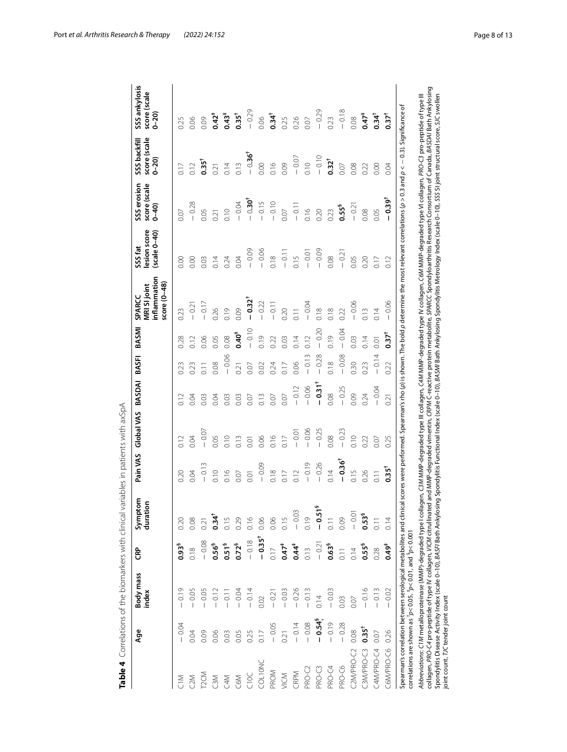<span id="page-7-0"></span>

| $\mathfrak{c}$                                                                                                                                                                                                |
|---------------------------------------------------------------------------------------------------------------------------------------------------------------------------------------------------------------|
|                                                                                                                                                                                                               |
|                                                                                                                                                                                                               |
|                                                                                                                                                                                                               |
| )<br>)<br>)<br>)<br>)                                                                                                                                                                                         |
|                                                                                                                                                                                                               |
|                                                                                                                                                                                                               |
|                                                                                                                                                                                                               |
|                                                                                                                                                                                                               |
| that is a final self-of the system of the system of the system of the control of the parts.<br>- 22 23 - 32 23 24 - 23 24 - 23 24 - 23 24 - 23 24 - 23 24 - 23 24 - 23 24 - 23 24 - 23 24 - 23 24 - 23 24 - 2 |
|                                                                                                                                                                                                               |
|                                                                                                                                                                                                               |
|                                                                                                                                                                                                               |
|                                                                                                                                                                                                               |
|                                                                                                                                                                                                               |
|                                                                                                                                                                                                               |
|                                                                                                                                                                                                               |
| $\frac{1}{2}$                                                                                                                                                                                                 |
|                                                                                                                                                                                                               |
|                                                                                                                                                                                                               |
|                                                                                                                                                                                                               |
|                                                                                                                                                                                                               |
|                                                                                                                                                                                                               |
|                                                                                                                                                                                                               |
|                                                                                                                                                                                                               |
|                                                                                                                                                                                                               |
|                                                                                                                                                                                                               |
|                                                                                                                                                                                                               |
|                                                                                                                                                                                                               |
|                                                                                                                                                                                                               |
|                                                                                                                                                                                                               |
|                                                                                                                                                                                                               |
|                                                                                                                                                                                                               |
|                                                                                                                                                                                                               |
|                                                                                                                                                                                                               |
| Ì                                                                                                                                                                                                             |
|                                                                                                                                                                                                               |
|                                                                                                                                                                                                               |
| j                                                                                                                                                                                                             |
| ì<br>I                                                                                                                                                                                                        |

|                                     | Age              | Body mass<br>index                                                                                                                                                 | င်း                 | Symptom<br>duration | Pain VAS  | Global VAS | BASDAI               | BASFI          | BASMI               | inflammation<br>$score(0-48)$<br><b>MRI SI joint</b><br>SPARCC                                                                                                                                                                                                                                                                                                         | lesion score<br>$(scale 0-40)$<br>SSS fat | SSS erosion<br>score (scale<br>$0 - 40$ | score (scale<br>SSS backfill<br>$0 - 20$ | SSS ankylosis<br>score (scale<br>$0 - 20$ |
|-------------------------------------|------------------|--------------------------------------------------------------------------------------------------------------------------------------------------------------------|---------------------|---------------------|-----------|------------|----------------------|----------------|---------------------|------------------------------------------------------------------------------------------------------------------------------------------------------------------------------------------------------------------------------------------------------------------------------------------------------------------------------------------------------------------------|-------------------------------------------|-----------------------------------------|------------------------------------------|-------------------------------------------|
| <b>MID</b>                          | $-0.04$          | 0.19<br>$\overline{1}$                                                                                                                                             | $0.93^{5}$          | 0.20                | 0.20      |            |                      | 0.23           | 0.28                | 0.23                                                                                                                                                                                                                                                                                                                                                                   | 0.00                                      | 0.07                                    |                                          | 0.25                                      |
| 2M                                  | 0.04             | $-0.05$                                                                                                                                                            | 0.18                | 0.08                | 0.04      | 0.04       | 0.04                 | 0.23           |                     | $-0.21$                                                                                                                                                                                                                                                                                                                                                                | 0.00                                      | $-0.28$                                 | 0.12                                     | 0.06                                      |
| <b>LSCM</b>                         | 0.09             | $-0.05$                                                                                                                                                            | $-0.08$             | 0.21                | $-0.13$   | $-0.07$    | 0.03                 | $\overline{C}$ | 0.06                | $-0.17$                                                                                                                                                                                                                                                                                                                                                                | 0.03                                      | 0.05                                    | $0.35^{\dagger}$                         | 0.09                                      |
| C3M                                 | 0.06             | $-0.12$                                                                                                                                                            | $0.56^{5}$          | $0.34^{\dagger}$    | 0.10      | 0.05       | D.O4                 | 0.08           | 0.05                | 0.26                                                                                                                                                                                                                                                                                                                                                                   |                                           | 0.21                                    | 0.21                                     | $0.42^{\ddagger}$                         |
| C4M                                 | 0.03             | $-0.11$                                                                                                                                                            | 0.51 <sup>5</sup>   | 0.15                | 0.16      | 0.10       | 0.03                 | $-0.06$        | 0.08                | 0.19                                                                                                                                                                                                                                                                                                                                                                   | 0.24                                      | 0.10                                    | 0.14                                     | $0.43*$                                   |
| C6M                                 | 0.05             | $-0.04$                                                                                                                                                            | 0.72 <sup>§</sup>   | 0.29                | 0.07      | 0.13       | 0.03                 | 0.21           | $0.40^{4}$          | 0.09                                                                                                                                                                                                                                                                                                                                                                   | 0.04                                      | $-0.04$                                 | 0.13                                     | $0.35^{\dagger}$                          |
| C10C                                | 0.25             | $-0.14$                                                                                                                                                            | $-0.18$             | 0.16                | 0.01      | 0.01       | 0.07                 | 0.07           | $-0.10$             | $-0.32$ <sup>+</sup>                                                                                                                                                                                                                                                                                                                                                   | $-0.09$                                   | $-0.30^{+}$                             | $-0.36^{+}$                              | $-0.29$                                   |
| COL10NC                             | 0.17             | 0.02                                                                                                                                                               | $-0.35^{\dagger}$   | 0.06                | $-0.09$   | 0.06       | 0.13                 | 0.02           | 0.19                | $-0.22$                                                                                                                                                                                                                                                                                                                                                                | $-0.06$                                   | 0.15                                    | 0.00                                     | 0.06                                      |
| PROM                                | $-0.05$          | $-0.21$                                                                                                                                                            | 0.17                | 0.06                | 0.18      | 0.16       | 0.07                 | 0.24           | 0.22                | $-0.11$                                                                                                                                                                                                                                                                                                                                                                | 0.18                                      | $-0.10$                                 | 0.16                                     | $0.34^{\dagger}$                          |
| VICM                                | 0.21             | $-0.03$                                                                                                                                                            | $0.47$ <sup>#</sup> | 0.15                | 0.17      | 0.17       | 0.07                 | 0.17           | 0.03                | 0.20                                                                                                                                                                                                                                                                                                                                                                   | $-0.11$                                   | 0.07                                    | 0.09                                     | 0.25                                      |
| CRPM                                | $-0.14$          | $-0.26$                                                                                                                                                            | $0.44$ <sup>#</sup> | $-0.03$             | 0.12      | $-0.01$    | $-0.12$              | 0.06           | 0.14                | 0.11                                                                                                                                                                                                                                                                                                                                                                   | 0.15                                      | $-0.11$                                 | $-0.07$                                  | 0.26                                      |
| PRO-C2                              | $-0.08$          | $-0.13$                                                                                                                                                            | 0.13                | 0.19                | $-0.19$   | $-0.06$    | 0.06                 | $-0.13$        | 0.12                | $-0.04$                                                                                                                                                                                                                                                                                                                                                                | $-0.01$                                   | 0.16                                    | 0.10                                     | 0.07                                      |
| PRO-C3                              | $-0.54^5$        | 0.14                                                                                                                                                               | $-0.21$             | m<br>$-0.5$         | 0.26      | $-0.25$    | $-0.31$ <sup>+</sup> | $-0.28$        | $-0.20$             | 0.18                                                                                                                                                                                                                                                                                                                                                                   | $-0.09$                                   | 0.20                                    | $-0.10$                                  | $-0.29$                                   |
| PRO-C4                              | $-0.19$          | $-0.03$                                                                                                                                                            | $0.63^{5}$          | 0.11                | 0.14      | 0.08       | 0.08                 | 0.18           | 0.19                | 0.18                                                                                                                                                                                                                                                                                                                                                                   | 0.08                                      | 0.23                                    | $0.32^{\dagger}$                         | 0.23                                      |
| PRO-C6                              | $-0.28$          | 0.03                                                                                                                                                               | $\overline{0}$ . 11 | 0.09                | $-0.36^+$ | $-0.23$    | $-0.25$              | $-0.08$        | $-0.04$             | 0.22                                                                                                                                                                                                                                                                                                                                                                   | $-0.21$                                   | $0.55^{\frac{5}{3}}$                    | 0.07                                     | $-0.18$                                   |
| C2M/PRO-C2                          | 0.08             | 0.07                                                                                                                                                               | 0.14                | $-0.01$             | 0.15      | 0.10       | 0.09                 | 0.30           | 0.03                | $-0.06$                                                                                                                                                                                                                                                                                                                                                                | 0.05                                      | $-0.21$                                 | 0.08                                     | 0.08                                      |
| C3M/PRO-C3                          | $0.35^{\dagger}$ | $-0.16$                                                                                                                                                            | $0.55^{5}$          | 0.53 <sup>5</sup>   | 0.26      | 0.22       | 0.24                 | 0.23           | 0.14                | 0.13                                                                                                                                                                                                                                                                                                                                                                   | 0.20                                      | 0.08                                    | 0.22                                     | $0.47$ <sup>#</sup>                       |
| C4M/PRO-C4                          | 0.07             | $-0.13$                                                                                                                                                            | 0.28                | 0.11                | 0.11      | 0.07       | $-0.04$              | $-0.14$        | 0.01                | 0.14                                                                                                                                                                                                                                                                                                                                                                   | 0.17                                      | 0.05                                    | 0.00                                     | $0.34^{\dagger}$                          |
| C6M/PRO-C6                          | 0.26             | $-0.02$                                                                                                                                                            | $0.49^{+}$          | 0.14                | $0.35^+$  | 0.25       | 0.21                 | 0.22           | $0.37$ <sup>†</sup> | $-0.06$                                                                                                                                                                                                                                                                                                                                                                | 0.12                                      | $-0.39^{\dagger}$                       | 0.04                                     | $0.37^{\dagger}$                          |
|                                     |                  | Spearman's correlation between serological metabolites and clin<br>correlations are shown as $\frac{t}{P}$ < 0.05, $\frac{t}{P}$ < 0.01, and $\frac{5}{P}$ < 0.001 |                     |                     |           |            |                      |                |                     | ical scores were performed. Spearman's rho ( $\rho$ ) is shown. The bold $\rho$ determine the most relevant correlations ( $\rho$ > 0.3 and $\rho$ < $-$ 0.3). Significance of                                                                                                                                                                                         |                                           |                                         |                                          |                                           |
|                                     |                  | Abbreviations: C1M metalloproteinase (MMP)-degraded type I col                                                                                                     |                     |                     |           |            |                      |                |                     | collagen, PRO-C4 pro-peptide of type IV collagen, V/CUV citrullinated and MMP-degraded vimentin, CRPM C-reactive protein metabolite, SPARCC Spondyloarthritis Research Consortium of Canada, BASDAI Bath Ankylosing<br>lagen, C3M MMP-degraded type III collagen, C4M MMP-degraded type IV collagen, C6M MMP-degraded type VI collagen, PRO-C3 pro-peptide of type III |                                           |                                         |                                          |                                           |
| joint count, TJC tender joint count |                  |                                                                                                                                                                    |                     |                     |           |            |                      |                |                     | Spondylitis Disease Activity Index (scale 0–10), <i>B</i> ASFJ Bath Ankylosing Spondylitis Functional Index (scale 0–10), <i>BASMI</i> Bath Ankylosing Spondylitis Metrology Index (scale 0–10), SSS SI joint structural score, S/C swoll                                                                                                                              |                                           |                                         |                                          |                                           |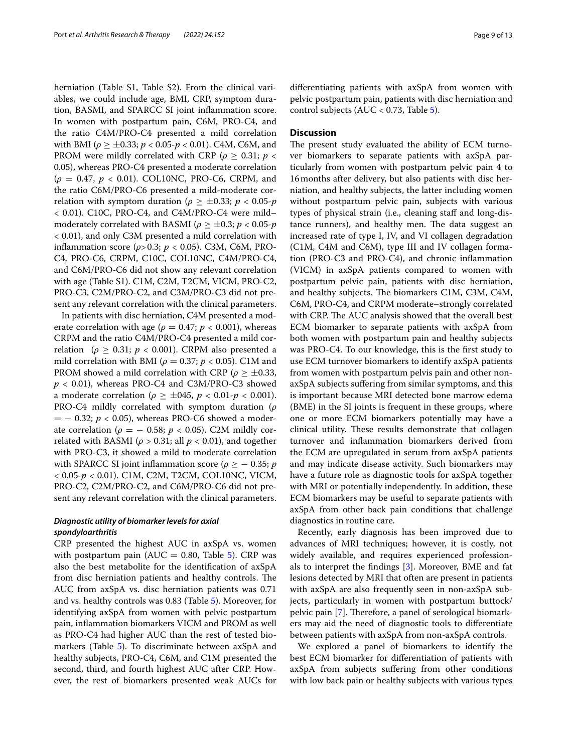herniation (Table S1, Table S2). From the clinical variables, we could include age, BMI, CRP, symptom duration, BASMI, and SPARCC SI joint infammation score. In women with postpartum pain, C6M, PRO-C4, and the ratio C4M/PRO-C4 presented a mild correlation with BMI ( $ρ \geq ±0.33$ ;  $p < 0.05-p < 0.01$ ). C4M, C6M, and PROM were mildly correlated with CRP ( $\rho \geq 0.31$ ;  $p <$ 0.05), whereas PRO-C4 presented a moderate correlation (*ρ* = 0.47, *p* < 0.01). COL10NC, PRO-C6, CRPM, and the ratio C6M/PRO-C6 presented a mild-moderate correlation with symptom duration ( $\rho \geq \pm 0.33$ ;  $p < 0.05$ - $p$ < 0.01). C10C, PRO-C4, and C4M/PRO-C4 were mild– moderately correlated with BASMI ( $\rho \geq \pm 0.3$ ;  $p < 0.05$ - $p$ < 0.01), and only C3M presented a mild correlation with infammation score (*ρ*>0.3; *p* < 0.05). C3M, C6M, PRO-C4, PRO-C6, CRPM, C10C, COL10NC, C4M/PRO-C4, and C6M/PRO-C6 did not show any relevant correlation with age (Table S1). C1M, C2M, T2CM, VICM, PRO-C2, PRO-C3, C2M/PRO-C2, and C3M/PRO-C3 did not present any relevant correlation with the clinical parameters.

In patients with disc herniation, C4M presented a moderate correlation with age ( $\rho = 0.47$ ;  $p < 0.001$ ), whereas CRPM and the ratio C4M/PRO-C4 presented a mild correlation ( $\rho \geq 0.31$ ;  $p < 0.001$ ). CRPM also presented a mild correlation with BMI ( $\rho = 0.37$ ;  $p < 0.05$ ). C1M and PROM showed a mild correlation with CRP ( $\rho \geq \pm 0.33$ , *p* < 0.01), whereas PRO-C4 and C3M/PRO-C3 showed a moderate correlation ( $\rho \ge \pm 045$ ,  $p < 0.01$ - $p < 0.001$ ). PRO-C4 mildly correlated with symptom duration (*ρ* = − 0.32; *p* < 0.05), whereas PRO-C6 showed a moderate correlation ( $\rho = -0.58$ ;  $p < 0.05$ ). C2M mildly correlated with BASMI ( $\rho > 0.31$ ; all  $p < 0.01$ ), and together with PRO-C3, it showed a mild to moderate correlation with SPARCC SI joint inflammation score ( $\rho \geq -0.35$ ; *p* < 0.05-*p* < 0.01). C1M, C2M, T2CM, COL10NC, VICM, PRO-C2, C2M/PRO-C2, and C6M/PRO-C6 did not present any relevant correlation with the clinical parameters.

# *Diagnostic utility of biomarker levels for axial spondyloarthritis*

CRP presented the highest AUC in axSpA vs. women with postpartum pain (AUC = 0.80, Table  $5$ ). CRP was also the best metabolite for the identifcation of axSpA from disc herniation patients and healthy controls. The AUC from axSpA vs. disc herniation patients was 0.71 and vs. healthy controls was 0.83 (Table [5](#page-9-0)). Moreover, for identifying axSpA from women with pelvic postpartum pain, infammation biomarkers VICM and PROM as well as PRO-C4 had higher AUC than the rest of tested bio-markers (Table [5](#page-9-0)). To discriminate between axSpA and healthy subjects, PRO-C4, C6M, and C1M presented the second, third, and fourth highest AUC after CRP. However, the rest of biomarkers presented weak AUCs for diferentiating patients with axSpA from women with pelvic postpartum pain, patients with disc herniation and control subjects (AUC < 0.73, Table [5\)](#page-9-0).

## **Discussion**

The present study evaluated the ability of ECM turnover biomarkers to separate patients with axSpA particularly from women with postpartum pelvic pain 4 to 16months after delivery, but also patients with disc herniation, and healthy subjects, the latter including women without postpartum pelvic pain, subjects with various types of physical strain (i.e., cleaning staf and long-distance runners), and healthy men. The data suggest an increased rate of type I, IV, and VI collagen degradation (C1M, C4M and C6M), type III and IV collagen formation (PRO-C3 and PRO-C4), and chronic infammation (VICM) in axSpA patients compared to women with postpartum pelvic pain, patients with disc herniation, and healthy subjects. The biomarkers C1M, C3M, C4M, C6M, PRO-C4, and CRPM moderate–strongly correlated with CRP. The AUC analysis showed that the overall best ECM biomarker to separate patients with axSpA from both women with postpartum pain and healthy subjects was PRO-C4. To our knowledge, this is the frst study to use ECM turnover biomarkers to identify axSpA patients from women with postpartum pelvis pain and other nonaxSpA subjects sufering from similar symptoms, and this is important because MRI detected bone marrow edema (BME) in the SI joints is frequent in these groups, where one or more ECM biomarkers potentially may have a clinical utility. These results demonstrate that collagen turnover and infammation biomarkers derived from the ECM are upregulated in serum from axSpA patients and may indicate disease activity. Such biomarkers may have a future role as diagnostic tools for axSpA together with MRI or potentially independently. In addition, these ECM biomarkers may be useful to separate patients with axSpA from other back pain conditions that challenge diagnostics in routine care.

Recently, early diagnosis has been improved due to advances of MRI techniques; however, it is costly, not widely available, and requires experienced professionals to interpret the fndings [\[3](#page-11-2)]. Moreover, BME and fat lesions detected by MRI that often are present in patients with axSpA are also frequently seen in non-axSpA subjects, particularly in women with postpartum buttock/ pelvic pain [[7\]](#page-11-6). Therefore, a panel of serological biomarkers may aid the need of diagnostic tools to diferentiate between patients with axSpA from non-axSpA controls.

We explored a panel of biomarkers to identify the best ECM biomarker for diferentiation of patients with axSpA from subjects sufering from other conditions with low back pain or healthy subjects with various types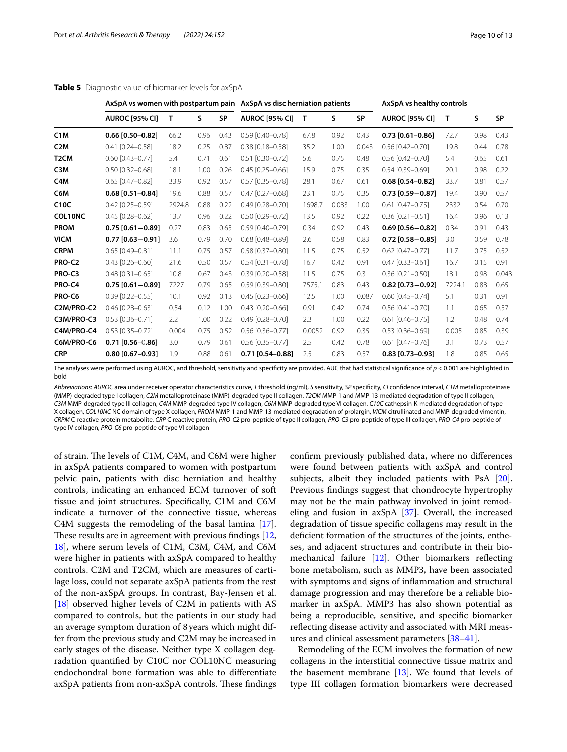<span id="page-9-0"></span>

|                   |                        | AxSpA vs women with postpartum pain AxSpA vs disc herniation patients |      |           |                        |        |       |           | AxSpA vs healthy controls |        |      |           |
|-------------------|------------------------|-----------------------------------------------------------------------|------|-----------|------------------------|--------|-------|-----------|---------------------------|--------|------|-----------|
|                   | <b>AUROC [95% CI]</b>  | Т                                                                     | s    | <b>SP</b> | <b>AUROC [95% CI]</b>  | T      | S     | <b>SP</b> | <b>AUROC [95% CI]</b>     | т      | S    | <b>SP</b> |
| C1M               | 0.66 [0.50-0.82]       | 66.2                                                                  | 0.96 | 0.43      | 0.59 [0.40-0.78]       | 67.8   | 0.92  | 0.43      | $0.73$ [0.61-0.86]        | 72.7   | 0.98 | 0.43      |
| C <sub>2</sub> M  | $0.41$ $[0.24 - 0.58]$ | 18.2                                                                  | 0.25 | 0.87      | $0.38$ [0.18-0.58]     | 35.2   | 1.00  | 0.043     | $0.56$ $[0.42 - 0.70]$    | 19.8   | 0.44 | 0.78      |
| T <sub>2</sub> CM | $0.60$ $[0.43 - 0.77]$ | 5.4                                                                   | 0.71 | 0.61      | $0.51$ $[0.30 - 0.72]$ | 5.6    | 0.75  | 0.48      | $0.56$ $[0.42 - 0.70]$    | 5.4    | 0.65 | 0.61      |
| C <sub>3</sub> M  | $0.50$ $[0.32 - 0.68]$ | 18.1                                                                  | 1.00 | 0.26      | $0.45$ $[0.25 - 0.66]$ | 15.9   | 0.75  | 0.35      | $0.54$ [0.39-0.69]        | 20.1   | 0.98 | 0.22      |
| C <sub>4</sub> M  | $0.65$ $[0.47 - 0.82]$ | 33.9                                                                  | 0.92 | 0.57      | $0.57$ $[0.35 - 0.78]$ | 28.1   | 0.67  | 0.61      | $0.68$ [0.54-0.82]        | 33.7   | 0.81 | 0.57      |
| C6M               | $0.68$ [0.51-0.84]     | 19.6                                                                  | 0.88 | 0.57      | $0.47$ [0.27-0.68]     | 23.1   | 0.75  | 0.35      | $0.73$ [0.59-0.87]        | 19.4   | 0.90 | 0.57      |
| C10C              | $0.42$ $[0.25 - 0.59]$ | 2924.8                                                                | 0.88 | 0.22      | $0.49$ $[0.28 - 0.70]$ | 1698.7 | 0.083 | 1.00      | $0.61$ $[0.47 - 0.75]$    | 2332   | 0.54 | 0.70      |
| COL10NC           | $0.45$ $[0.28 - 0.62]$ | 13.7                                                                  | 0.96 | 0.22      | $0.50$ $[0.29 - 0.72]$ | 13.5   | 0.92  | 0.22      | $0.36$ $[0.21 - 0.51]$    | 16.4   | 0.96 | 0.13      |
| <b>PROM</b>       | $0.75$ [0.61-0.89]     | 0.27                                                                  | 0.83 | 0.65      | $0.59$ $[0.40 - 0.79]$ | 0.34   | 0.92  | 0.43      | $0.69$ [0.56 - 0.82]      | 0.34   | 0.91 | 0.43      |
| <b>VICM</b>       | $0.77$ [0.63-0.91]     | 3.6                                                                   | 0.79 | 0.70      | $0.68$ [0.48-0.89]     | 2.6    | 0.58  | 0.83      | $0.72$ [0.58 - 0.85]      | 3.0    | 0.59 | 0.78      |
| <b>CRPM</b>       | $0.65$ $[0.49 - 0.81]$ | 11.1                                                                  | 0.75 | 0.57      | $0.58$ [0.37-0.80]     | 11.5   | 0.75  | 0.52      | $0.62$ [0.47-0.77]        | 11.7   | 0.75 | 0.52      |
| PRO-C2            | $0.43$ $[0.26 - 0.60]$ | 21.6                                                                  | 0.50 | 0.57      | $0.54$ $[0.31 - 0.78]$ | 16.7   | 0.42  | 0.91      | $0.47$ $[0.33 - 0.61]$    | 16.7   | 0.15 | 0.91      |
| PRO-C3            | $0.48$ $[0.31 - 0.65]$ | 10.8                                                                  | 0.67 | 0.43      | $0.39$ $[0.20 - 0.58]$ | 11.5   | 0.75  | 0.3       | $0.36$ [0.21-0.50]        | 18.1   | 0.98 | 0.043     |
| PRO-C4            | $0.75$ [0.61-0.89]     | 7227                                                                  | 0.79 | 0.65      | $0.59$ [0.39-0.80]     | 7575.1 | 0.83  | 0.43      | $0.82$ [0.73-0.92]        | 7224.1 | 0.88 | 0.65      |
| PRO-C6            | $0.39$ $[0.22 - 0.55]$ | 10.1                                                                  | 0.92 | 0.13      | $0.45$ [0.23-0.66]     | 12.5   | 1.00  | 0.087     | $0.60$ $[0.45 - 0.74]$    | 5.1    | 0.31 | 0.91      |
| C2M/PRO-C2        | $0.46$ [0.28-0.63]     | 0.54                                                                  | 0.12 | 1.00      | $0.43$ [0.20-0.66]     | 0.91   | 0.42  | 0.74      | $0.56$ [0.41-0.70]        | 1.1    | 0.65 | 0.57      |
| C3M/PRO-C3        | $0.53$ $[0.36 - 0.71]$ | 2.2                                                                   | 1.00 | 0.22      | $0.49$ $[0.28 - 0.70]$ | 2.3    | 1.00  | 0.22      | $0.61$ $[0.46 - 0.75]$    | 1.2    | 0.48 | 0.74      |
| C4M/PRO-C4        | $0.53$ $[0.35 - 0.72]$ | 0.004                                                                 | 0.75 | 0.52      | $0.56$ $[0.36 - 0.77]$ | 0.0052 | 0.92  | 0.35      | $0.53$ [0.36-0.69]        | 0.005  | 0.85 | 0.39      |
| C6M/PRO-C6        | $0.71$ [0.56-0.86]     | 3.0                                                                   | 0.79 | 0.61      | $0.56$ [0.35-0.77]     | 2.5    | 0.42  | 0.78      | $0.61$ [0.47-0.76]        | 3.1    | 0.73 | 0.57      |
| <b>CRP</b>        | $0.80$ [0.67-0.93]     | 1.9                                                                   | 0.88 | 0.61      | $0.71$ [0.54-0.88]     | 2.5    | 0.83  | 0.57      | $0.83$ [0.73-0.93]        | 1.8    | 0.85 | 0.65      |

The analyses were performed using AUROC, and threshold, sensitivity and specificity are provided. AUC that had statistical significance of  $p < 0.001$  are highlighted in bold

*Abbreviations*: *AUROC* area under receiver operator characteristics curve, *T* threshold (ng/ml), *S* sensitivity, *SP* specifcity, *CI* confdence interval, *C1M* metalloproteinase (MMP)-degraded type I collagen, *C2M* metalloproteinase (MMP)-degraded type II collagen, *T2CM* MMP-1 and MMP-13-mediated degradation of type II collagen, *C3M* MMP-degraded type III collagen, *C4M* MMP-degraded type IV collagen, *C6M* MMP-degraded type VI collagen, *C10C* cathepsin-K-mediated degradation of type X collagen, *COL10NC* NC domain of type X collagen, *PROM* MMP-1 and MMP-13-mediated degradation of prolargin, *VICM* citrullinated and MMP-degraded vimentin, *CRPM* C-reactive protein metabolite, *CRP* C reactive protein, *PRO-C2* pro-peptide of type II collagen, *PRO-C3* pro-peptide of type III collagen, *PRO-C4* pro-peptide of type IV collagen, *PRO-C6* pro-peptide of type VI collagen

of strain. The levels of C1M, C4M, and C6M were higher in axSpA patients compared to women with postpartum pelvic pain, patients with disc herniation and healthy controls, indicating an enhanced ECM turnover of soft tissue and joint structures. Specifcally, C1M and C6M indicate a turnover of the connective tissue, whereas C4M suggests the remodeling of the basal lamina [\[17](#page-12-3)]. These results are in agreement with previous findings  $[12, 12]$  $[12, 12]$ [18\]](#page-12-4), where serum levels of C1M, C3M, C4M, and C6M were higher in patients with axSpA compared to healthy controls. C2M and T2CM, which are measures of cartilage loss, could not separate axSpA patients from the rest of the non-axSpA groups. In contrast, Bay-Jensen et al. [[18\]](#page-12-4) observed higher levels of C2M in patients with AS compared to controls, but the patients in our study had an average symptom duration of 8 years which might differ from the previous study and C2M may be increased in early stages of the disease. Neither type X collagen degradation quantifed by C10C nor COL10NC measuring endochondral bone formation was able to diferentiate  $axSpA$  patients from non- $axSpA$  controls. These findings

confrm previously published data, where no diferences were found between patients with axSpA and control subjects, albeit they included patients with PsA [\[20](#page-12-6)]. Previous fndings suggest that chondrocyte hypertrophy may not be the main pathway involved in joint remodeling and fusion in axSpA [\[37](#page-12-23)]. Overall, the increased degradation of tissue specifc collagens may result in the defcient formation of the structures of the joints, entheses, and adjacent structures and contribute in their biomechanical failure [[12\]](#page-11-11). Other biomarkers refecting bone metabolism, such as MMP3, have been associated with symptoms and signs of infammation and structural damage progression and may therefore be a reliable biomarker in axSpA. MMP3 has also shown potential as being a reproducible, sensitive, and specifc biomarker refecting disease activity and associated with MRI measures and clinical assessment parameters [[38–](#page-12-24)[41](#page-12-25)].

Remodeling of the ECM involves the formation of new collagens in the interstitial connective tissue matrix and the basement membrane  $[13]$  $[13]$ . We found that levels of type III collagen formation biomarkers were decreased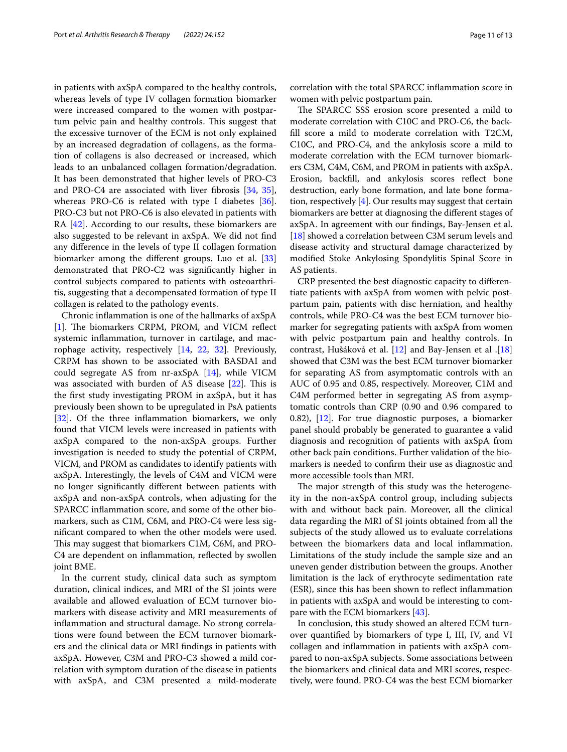in patients with axSpA compared to the healthy controls, whereas levels of type IV collagen formation biomarker were increased compared to the women with postpartum pelvic pain and healthy controls. This suggest that the excessive turnover of the ECM is not only explained by an increased degradation of collagens, as the formation of collagens is also decreased or increased, which leads to an unbalanced collagen formation/degradation. It has been demonstrated that higher levels of PRO-C3 and PRO-C4 are associated with liver fbrosis [\[34,](#page-12-20) [35](#page-12-21)], whereas PRO-C6 is related with type I diabetes [\[36](#page-12-22)]. PRO-C3 but not PRO-C6 is also elevated in patients with RA [[42\]](#page-12-26). According to our results, these biomarkers are also suggested to be relevant in axSpA. We did not fnd any diference in the levels of type II collagen formation biomarker among the diferent groups. Luo et al. [[33](#page-12-19)] demonstrated that PRO-C2 was signifcantly higher in control subjects compared to patients with osteoarthritis, suggesting that a decompensated formation of type II collagen is related to the pathology events.

Chronic infammation is one of the hallmarks of axSpA [[1\]](#page-11-0). The biomarkers CRPM, PROM, and VICM reflect systemic infammation, turnover in cartilage, and macrophage activity, respectively [[14,](#page-12-0) [22,](#page-12-8) [32](#page-12-18)]. Previously, CRPM has shown to be associated with BASDAI and could segregate AS from nr-axSpA [\[14\]](#page-12-0), while VICM was associated with burden of AS disease  $[22]$  $[22]$ . This is the frst study investigating PROM in axSpA, but it has previously been shown to be upregulated in PsA patients [[32\]](#page-12-18). Of the three inflammation biomarkers, we only found that VICM levels were increased in patients with axSpA compared to the non-axSpA groups. Further investigation is needed to study the potential of CRPM, VICM, and PROM as candidates to identify patients with axSpA. Interestingly, the levels of C4M and VICM were no longer signifcantly diferent between patients with axSpA and non-axSpA controls, when adjusting for the SPARCC infammation score, and some of the other biomarkers, such as C1M, C6M, and PRO-C4 were less signifcant compared to when the other models were used. This may suggest that biomarkers C1M, C6M, and PRO-C4 are dependent on infammation, refected by swollen joint BME.

In the current study, clinical data such as symptom duration, clinical indices, and MRI of the SI joints were available and allowed evaluation of ECM turnover biomarkers with disease activity and MRI measurements of infammation and structural damage. No strong correlations were found between the ECM turnover biomarkers and the clinical data or MRI fndings in patients with axSpA. However, C3M and PRO-C3 showed a mild correlation with symptom duration of the disease in patients with axSpA, and C3M presented a mild-moderate correlation with the total SPARCC infammation score in women with pelvic postpartum pain.

The SPARCC SSS erosion score presented a mild to moderate correlation with C10C and PRO-C6, the backfll score a mild to moderate correlation with T2CM, C10C, and PRO-C4, and the ankylosis score a mild to moderate correlation with the ECM turnover biomarkers C3M, C4M, C6M, and PROM in patients with axSpA. Erosion, backfll, and ankylosis scores refect bone destruction, early bone formation, and late bone formation, respectively [\[4](#page-11-3)]. Our results may suggest that certain biomarkers are better at diagnosing the diferent stages of axSpA. In agreement with our fndings, Bay-Jensen et al. [[18\]](#page-12-4) showed a correlation between C3M serum levels and disease activity and structural damage characterized by modifed Stoke Ankylosing Spondylitis Spinal Score in AS patients.

CRP presented the best diagnostic capacity to diferentiate patients with axSpA from women with pelvic postpartum pain, patients with disc herniation, and healthy controls, while PRO-C4 was the best ECM turnover biomarker for segregating patients with axSpA from women with pelvic postpartum pain and healthy controls. In contrast, Hušáková et al. [[12](#page-11-11)] and Bay-Jensen et al .[[18](#page-12-4)] showed that C3M was the best ECM turnover biomarker for separating AS from asymptomatic controls with an AUC of 0.95 and 0.85, respectively. Moreover, C1M and C4M performed better in segregating AS from asymptomatic controls than CRP (0.90 and 0.96 compared to 0.82), [\[12](#page-11-11)]. For true diagnostic purposes, a biomarker panel should probably be generated to guarantee a valid diagnosis and recognition of patients with axSpA from other back pain conditions. Further validation of the biomarkers is needed to confrm their use as diagnostic and more accessible tools than MRI.

The major strength of this study was the heterogeneity in the non-axSpA control group, including subjects with and without back pain. Moreover, all the clinical data regarding the MRI of SI joints obtained from all the subjects of the study allowed us to evaluate correlations between the biomarkers data and local infammation. Limitations of the study include the sample size and an uneven gender distribution between the groups. Another limitation is the lack of erythrocyte sedimentation rate (ESR), since this has been shown to refect infammation in patients with axSpA and would be interesting to compare with the ECM biomarkers [\[43](#page-12-27)].

In conclusion, this study showed an altered ECM turnover quantifed by biomarkers of type I, III, IV, and VI collagen and infammation in patients with axSpA compared to non-axSpA subjects. Some associations between the biomarkers and clinical data and MRI scores, respectively, were found. PRO-C4 was the best ECM biomarker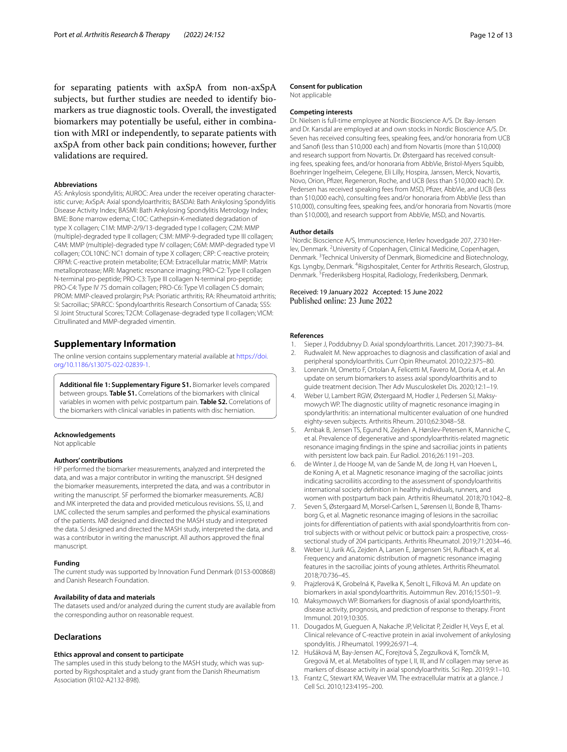for separating patients with axSpA from non-axSpA subjects, but further studies are needed to identify biomarkers as true diagnostic tools. Overall, the investigated biomarkers may potentially be useful, either in combination with MRI or independently, to separate patients with axSpA from other back pain conditions; however, further validations are required.

#### **Abbreviations**

AS: Ankylosis spondylitis; AUROC: Area under the receiver operating characteristic curve; AxSpA: Axial spondyloarthritis; BASDAI: Bath Ankylosing Spondylitis Disease Activity Index; BASMI: Bath Ankylosing Spondylitis Metrology Index; BME: Bone marrow edema; C10C: Cathepsin-K-mediated degradation of type X collagen; C1M: MMP-2/9/13-degraded type I collagen; C2M: MMP (multiple)-degraded type II collagen; C3M: MMP-9-degraded type III collagen; C4M: MMP (multiple)-degraded type IV collagen; C6M: MMP-degraded type VI collagen; COL10NC: NC1 domain of type X collagen; CRP: C-reactive protein; CRPM: C-reactive protein metabolite; ECM: Extracellular matrix; MMP: Matrix metalloprotease; MRI: Magnetic resonance imaging; PRO-C2: Type II collagen N-terminal pro-peptide; PRO-C3: Type III collagen N-terminal pro-peptide; PRO-C4: Type IV 7S domain collagen; PRO-C6: Type VI collagen C5 domain; PROM: MMP-cleaved prolargin; PsA: Psoriatic arthritis; RA: Rheumatoid arthritis; SI: Sacroiliac; SPARCC: Spondyloarthritis Research Consortium of Canada; SSS: SI Joint Structural Scores; T2CM: Collagenase-degraded type II collagen; VICM: Citrullinated and MMP-degraded vimentin.

#### **Supplementary Information**

The online version contains supplementary material available at [https://doi.](https://doi.org/10.1186/s13075-022-02839-1) [org/10.1186/s13075-022-02839-1](https://doi.org/10.1186/s13075-022-02839-1).

<span id="page-11-13"></span>**Additional fle 1: Supplementary Figure S1.** Biomarker levels compared between groups. **Table S1.** Correlations of the biomarkers with clinical variables in women with pelvic postpartum pain. **Table S2.** Correlations of the biomarkers with clinical variables in patients with disc herniation.

#### **Acknowledgements**

Not applicable

#### **Authors' contributions**

HP performed the biomarker measurements, analyzed and interpreted the data, and was a major contributor in writing the manuscript. SH designed the biomarker measurements, interpreted the data, and was a contributor in writing the manuscript. SF performed the biomarker measurements. ACBJ and MK interpreted the data and provided meticulous revisions. SS, IJ, and LMC collected the serum samples and performed the physical examinations of the patients. MØ designed and directed the MASH study and interpreted the data. SJ designed and directed the MASH study, interpreted the data, and was a contributor in writing the manuscript. All authors approved the fnal manuscript.

#### **Funding**

The current study was supported by Innovation Fund Denmark (0153-00086B) and Danish Research Foundation.

#### **Availability of data and materials**

The datasets used and/or analyzed during the current study are available from the corresponding author on reasonable request.

#### **Declarations**

#### **Ethics approval and consent to participate**

The samples used in this study belong to the MASH study, which was supported by Rigshospitalet and a study grant from the Danish Rheumatism Association (R102-A2132-B98).

#### **Consent for publication**

Not applicable

#### **Competing interests**

Dr. Nielsen is full-time employee at Nordic Bioscience A/S. Dr. Bay-Jensen and Dr. Karsdal are employed at and own stocks in Nordic Bioscience A/S. Dr. Seven has received consulting fees, speaking fees, and/or honoraria from UCB and Sanof (less than \$10,000 each) and from Novartis (more than \$10,000) and research support from Novartis. Dr. Østergaard has received consulting fees, speaking fees, and/or honoraria from AbbVie, Bristol-Myers Squibb, Boehringer Ingelheim, Celegene, Eli Lilly, Hospira, Janssen, Merck, Novartis, Novo, Orion, Pfzer, Regeneron, Roche, and UCB (less than \$10,000 each). Dr. Pedersen has received speaking fees from MSD, Pfzer, AbbVie, and UCB (less than \$10,000 each), consulting fees and/or honoraria from AbbVie (less than \$10,000), consulting fees, speaking fees, and/or honoraria from Novartis (more than \$10,000), and research support from AbbVie, MSD, and Novartis.

#### **Author details**

<sup>1</sup> Nordic Bioscience A/S, Immunoscience, Herlev hovedgade 207, 2730 Herlev, Denmark.<sup>2</sup> University of Copenhagen, Clinical Medicine, Copenhagen, Denmark.<sup>3</sup> Technical University of Denmark, Biomedicine and Biotechnology, Kgs. Lyngby, Denmark. <sup>4</sup>Rigshospitalet, Center for Arthritis Research, Glostrup, Denmark.<sup>5</sup> Frederiksberg Hospital, Radiology, Frederiksberg, Denmark.

# Received: 19 January 2022 Accepted: 15 June 2022

#### **References**

- <span id="page-11-0"></span>1. Sieper J, Poddubnyy D. Axial spondyloarthritis. Lancet. 2017;390:73–84.
- <span id="page-11-1"></span>2. Rudwaleit M. New approaches to diagnosis and classifcation of axial and peripheral spondyloarthritis. Curr Opin Rheumatol. 2010;22:375–80.
- <span id="page-11-2"></span>3. Lorenzin M, Ometto F, Ortolan A, Felicetti M, Favero M, Doria A, et al. An update on serum biomarkers to assess axial spondyloarthritis and to guide treatment decision. Ther Adv Musculoskelet Dis. 2020;12:1–19.
- <span id="page-11-3"></span>4. Weber U, Lambert RGW, Østergaard M, Hodler J, Pedersen SJ, Maksymowych WP. The diagnostic utility of magnetic resonance imaging in spondylarthritis: an international multicenter evaluation of one hundred eighty-seven subjects. Arthritis Rheum. 2010;62:3048–58.
- <span id="page-11-4"></span>5. Arnbak B, Jensen TS, Egund N, Zejden A, Hørslev-Petersen K, Manniche C, et al. Prevalence of degenerative and spondyloarthritis-related magnetic resonance imaging fndings in the spine and sacroiliac joints in patients with persistent low back pain. Eur Radiol. 2016;26:1191–203.
- <span id="page-11-5"></span>6. de Winter J, de Hooge M, van de Sande M, de Jong H, van Hoeven L, de Koning A, et al. Magnetic resonance imaging of the sacroiliac joints indicating sacroiliitis according to the assessment of spondyloarthritis international society defnition in healthy individuals, runners, and women with postpartum back pain. Arthritis Rheumatol. 2018;70:1042–8.
- <span id="page-11-6"></span>7. Seven S, Østergaard M, Morsel-Carlsen L, Sørensen IJ, Bonde B, Thamsborg G, et al. Magnetic resonance imaging of lesions in the sacroiliac joints for differentiation of patients with axial spondyloarthritis from control subjects with or without pelvic or buttock pain: a prospective, crosssectional study of 204 participants. Arthritis Rheumatol. 2019;71:2034–46.
- <span id="page-11-7"></span>8. Weber U, Jurik AG, Zejden A, Larsen E, Jørgensen SH, Rufbach K, et al. Frequency and anatomic distribution of magnetic resonance imaging features in the sacroiliac joints of young athletes. Arthritis Rheumatol. 2018;70:736–45.
- <span id="page-11-8"></span>9. Prajzlerová K, Grobelná K, Pavelka K, Šenolt L, Filková M. An update on biomarkers in axial spondyloarthritis. Autoimmun Rev. 2016;15:501–9.
- <span id="page-11-9"></span>10. Maksymowych WP. Biomarkers for diagnosis of axial spondyloarthritis, disease activity, prognosis, and prediction of response to therapy. Front Immunol. 2019;10:305.
- <span id="page-11-10"></span>11. Dougados M, Gueguen A, Nakache JP, Velicitat P, Zeidler H, Veys E, et al. Clinical relevance of C-reactive protein in axial involvement of ankylosing spondylitis. J Rheumatol. 1999;26:971–4.
- <span id="page-11-11"></span>12. Hušáková M, Bay-Jensen AC, Forejtová Š, Zegzulková K, Tomčík M, Gregová M, et al. Metabolites of type I, II, III, and IV collagen may serve as markers of disease activity in axial spondyloarthritis. Sci Rep. 2019;9:1–10.
- <span id="page-11-12"></span>13. Frantz C, Stewart KM, Weaver VM. The extracellular matrix at a glance. J Cell Sci. 2010;123:4195–200.